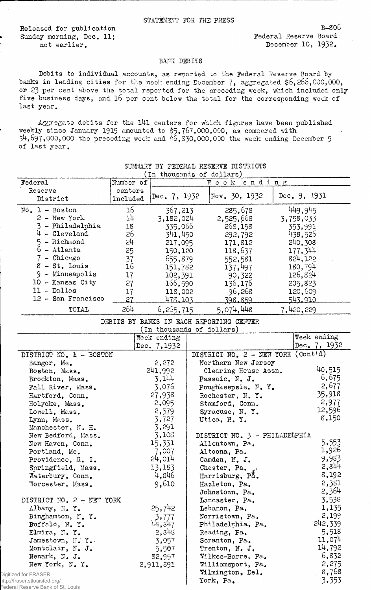Released for publication B-306 Sunday morning, Dec. 11; The case of the Sounday morning, Dec. 11;

<sup>=</sup>edera

not earlier. December 10, 1932.

## BANS DEBITS

Debits to individual accounts, as reported to the Federal Reserve Board by banks in leading cities for the week ending December 7, aggregated  $$6,265,000,000$ , or 23 per cent above the total reported for the preceding week, which included only five business days, and 16 per cent below the total for the corresponding week of last year.

Aggregate debits for the 141 centers for which figures have been published weekly since January 1919 amounted to \$5,767,000,000, as compared with  $$4,697,000,000$  the preceding week and  $$6,330,000,000$  the week ending December 9 of last year.

|                                                                    |                     | In thousands of dollars)  |                                          |              |
|--------------------------------------------------------------------|---------------------|---------------------------|------------------------------------------|--------------|
| Federal                                                            | Number of           |                           | Week ending                              |              |
| Reserve<br>District                                                | centers<br>included | Dec. 7, 1932              | Nov. 30, 1932                            | Dec. 9, 1931 |
|                                                                    |                     |                           |                                          |              |
| $No. 1 - Boston$                                                   | 16                  | 367,213                   | 285,678                                  | 449,945      |
| $2 - New York$                                                     | 14                  | 3,182,024                 | 2,525,668                                | 3,758,033    |
| 3 - Philadelphia                                                   | 18                  | 335,066                   | 268,158                                  | 353,991      |
| $4 - C1$ eveland                                                   | 26                  | 341,450                   | 292,792                                  | 438,526      |
| $5 - \text{Richard}$                                               | 54                  | 217,095                   | 171,812                                  | 240,308      |
| $6 - \text{Atlanta}$                                               | 25                  | 150,120                   | 118,637                                  | 177,344      |
| 7 - Chicago                                                        | 37                  | 655,879                   | 552,581                                  | 824,122      |
| $8 - St.$ Louis                                                    | <b>16</b>           | 151,782                   | 137,497                                  | 180,794      |
| 9 - Minneapolis                                                    | 17                  | 102,391                   | 90,322                                   | 126,824      |
| 10 - Kansas City                                                   | 27                  | 166,590                   | 136,176                                  | 205,823      |
| $11 - Dallas$                                                      | 17                  | 118,002                   | 96,268                                   | 120,609      |
| 12 - San Francisco                                                 | 27                  | 478,103                   | 398,859                                  | 543.910      |
| TOTAL                                                              | 264                 | 6,255,715                 | 5,074,448                                | 7,420,229    |
|                                                                    |                     |                           | DEBITS BY BANKS IN EACH REPORTING CENTER |              |
|                                                                    |                     | (In thousands of dollars) |                                          |              |
|                                                                    |                     | Week ending               |                                          | Week ending  |
|                                                                    |                     | Dec. 7,1932               |                                          | Dec. 7, 1932 |
| DISTRICT NO. 1 - BOSTON                                            |                     |                           | DISTRICT NO. 2 - NEW YORK (Cont'd)       |              |
| Bangor, Me.                                                        |                     | 2,272                     | Northern New Jersey                      |              |
| Boston, Mass.                                                      |                     | 241,992                   | Clearing House Assn.                     | 40,515       |
| Brockton, Mass.                                                    |                     | 3,144                     | Passaic, N. J.                           | 6,675        |
| Fall River, Mass.                                                  |                     | 3,076                     | Poughkeepsie, N.Y.                       | 2,677        |
| Hartford, Conn.                                                    |                     | 27,938                    | Rochester, N.Y.                          | 35,918       |
| Holyoke, Mass.                                                     |                     | 2,095                     | Stamford, Conn.                          | 2,977        |
| Lowell, Mass.                                                      |                     | 2,579                     | Syracuse, N.Y.                           | 12,596       |
| Lynn, Mass.                                                        |                     | 3,727                     | Utica, N.Y.                              | 8,150        |
| Manchester, N. H.                                                  |                     | 3,291                     |                                          |              |
| New Bedford, Mass.                                                 |                     | 3,108                     | DISTRICT NO. 3 - PHILADELPHIA            |              |
| New Haven, Conn.                                                   |                     | 15,331                    | Allentown, Pa.                           | 5,553        |
| Portland, Me.                                                      |                     | 7,007                     | Altoona, Pa.                             | 1,926        |
| Providence, R. I.                                                  |                     | 24,014                    | Camden, N. J.                            | 9,983        |
| Springfield, Mass.                                                 |                     | 13,183                    | Chester, Pa.                             | 2,844        |
| Waterbury, Conn.                                                   |                     | 4,846                     | Harrisburg, På.                          | 8,192        |
| Worcester, Mass.                                                   |                     | 9,610                     | Hazleton, Pa.                            | 2,381        |
|                                                                    |                     |                           | Johnstown, Pa.                           | 2,364        |
|                                                                    |                     |                           | Lancaster, Pa.                           | 3,538        |
| DISTRICT NO. 2 - NEW YORK                                          |                     | 25,742                    |                                          | 1,135        |
| Albany, N.Y.                                                       |                     |                           | Lebanon, Pa.                             | 2,199        |
| Binghamton, N.Y.                                                   |                     | 3,777<br>44,847           | Norristown, Pa.                          | 242,339      |
| Buffalo, N.Y.                                                      |                     |                           | Philadelphia, Pa.                        |              |
| Elmira, N.Y.                                                       |                     | 2,845                     | Reading, Pa.                             | 5,518        |
| Jamestown, N.Y.                                                    |                     | 3,057                     | Scranton, Pa.                            | 11,074       |
| Montclair, N. J.                                                   |                     | 5,507                     | Trenton, N. J.                           | 14,792       |
| Newark, N. J.                                                      |                     | 82,997                    | Wilkes-Barre, Pa.                        | 6,832        |
| New York, N.Y.                                                     |                     | 2,911,891                 | Williamsport, Pa.                        | 2,275        |
| Digitized for FRASER                                               |                     |                           | Wilmington, Del.                         | 8,768        |
| http://fraser.stlouisfed.org/<br>Federal Reserve Rank of St. Louis |                     |                           | York, Pa.                                | 3,353        |
|                                                                    |                     |                           |                                          |              |

SUMMARY BY FEDERAL RESERVE DISTRICTS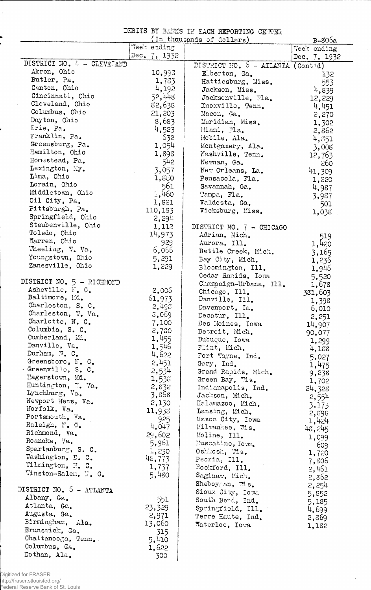DEBITS BY BANKS IN EACH REPORTING CENTER

|                            |              | (In thousands of dollars)            | B-806a       |
|----------------------------|--------------|--------------------------------------|--------------|
|                            | Teet ending  |                                      | Week ending  |
|                            | Dec. 7, 1932 |                                      | Dec. 7, 1932 |
| DISTRICT NO. 4 - CLEVELAND |              | DISTRICT NO. $6 - ATIANTA$ (Contid)  |              |
| Akron, Ohio                | 10,993       | Elberton, Ga.                        | 132          |
| Butler, Pa.                | 1,783        | Hattiesburg, Miss.                   | 553          |
| Canton, Ohio               | 4,192        | Jackson, Miss.                       | 4,839        |
| Cincinnati, Ohio           | 52,448       | Jacksonville, Fla.                   | 12,229       |
| Cleveland, Ohio            | 82,638       | Knoxville, Tenn.                     | 4,451        |
| Columbus, Ohio             | 21,203       | Macon, Ga.                           | 2,270        |
| Dayton, Ohio               | 8,683        | Meridian, Miss.                      | 1,302        |
| Erie, Pa.                  | 4,523        | Miami, Fla.                          | 2,862        |
| Franklin, Pa.              | 632          | Mobile, Ala.                         |              |
| Greensburg, Pa.            | 1,054        | Montgomery, Ala.                     | 4,851        |
| Hamilton, Ohio             | 1,898        |                                      | 3,008        |
| Homestead, Pa.             |              | Nashville, Tenn.                     | 12,763       |
| Lexington, My.             | 542          | Newnan, Ga.                          | 260          |
| Lima, Ohio                 | 3,057        | New Orleans, La.                     | 41,309       |
| Lorain, Ohio               | 1,880        | Pensacola, Fla.                      | 1,220        |
|                            | 561          | Savannah, Ga.                        | 4,987        |
| Middletown, Ohio           | 1,460        | Tampa, Fla.                          | 3,987        |
| Oil City, Pa.              | 1,821        | Valdosta, Ga.                        | 501          |
| Pittsburgh, Pa.            | 110,183      | Vicksburg, Miss.                     | 1,038        |
| Springfield, Ohio          | 2,294        |                                      |              |
| Steubenville, Ohio         | 1,112        | DISTRICT NO. 7 - CHICAGO             |              |
| Toledo, Ohio               | 14,973       | Adrian, Mich.                        | 519          |
| Marren, Ohio               | 929          | Aurora, Ill.                         | 1,420        |
| Theeling, W. Va.           | 6,055        | Battle Creek, Mich.                  | 3,165        |
| Youngstown, Ohio           | 5,291        | Bay City, Mich.                      | 1,236        |
| Zanesville, Ohio           | 1,229        | Bloomington, Ill.                    | 1,946        |
|                            |              | Cedar Rapids, Iowa                   | 5,520        |
| DISTRICT NO. 5 - RICHMOND  |              | Champaign-Urbana, Ill.               | 1,678        |
| Asheville, N. C.           | 2,006        | Chicago, Ill.                        |              |
| Baltimore, Md.             | 61,973       | Danville, Ill.                       | 381,603      |
| Charleston, S. C.          | 2,495        | Davenport, Ia.                       | 1,398        |
| Charleston, W. Va.         | 5,059        | Decatur, Ill.                        | 6,010        |
| Charlotte, N. C.           | 7,100        | Des Moines, Iowa                     | 2,251        |
| Columbia, S. C.            | 2,730        |                                      | 14,907       |
| Cumberland, Md.            | 1,455        | Detroit, Mich.                       | 90,077       |
| Danville, Va.              | 1,546        | Dubuque, Iowa                        | 1,299        |
| Durham, N. C.              | 4,622        | Flint, Mich.                         | 4,188        |
| Greensboro, N. C.          |              | Fort Wayne, Ind.                     | 5,027        |
| Greenville, S. C.          | 2,451        | Gary, Ind.                           | 1,475        |
| Hagerstown, Md.            | 2,534        | Grand Rapids, Mich.                  | 9,238        |
| Huntington, W. Va.         | 1,533        | Green Bay, "is.                      | 1,702        |
| Lynchburg, Va.             | 2,832        | Indianapolis, Ind.                   | 24,328       |
| Newport News, Va.          | 3,868        | Jackson, Mich.                       | 2,554        |
| Norfolk, Va.               | 2,130        | Kalamazoo, Mich.                     | 3,173        |
| Portsmouth, Va.            | 11,938       | Lansing, Mich.                       | 2,595        |
|                            | 925          | Mason City, Iowa                     | 1,424        |
| Raleigh, N. C.             | 4,047        | Milwaukee, 7is.                      | 48,245       |
| Richmond, Va.              | 29,602       | Moline, Ill.                         | 1,099        |
| Roanoke, Va.               | 5,961        | Muscatine, Iowa                      | 609          |
| Spartanburg, S. C.         | 1,230        | Oshkosh, Wis.                        | 1,720        |
| Washington, D. C.          | 48,773       | Peoria, Ill.                         | 7,806        |
| Wilmington, M. C.          | 1,737        | Rockford, Ill.                       | 2,461        |
| Winston-Salem, N. C.       | 5,480        | Saginaw, Mich.                       | 2,862        |
|                            |              | Sheboygan, $\mathfrak{As}_{\bullet}$ | 2,254        |
| DISTRICT NO. 5 - ATLANTA   |              | Sioux City, Iowa                     |              |
| Albany, Ga.                | 551          | South Bend, Ind.                     | 5,852        |
| Atlanta, Ga.               | 23,329       | Springfield, Ill.                    | 5,185        |
| Augusta, Ga.               | 2,971        | Terre Haute, Ind.                    | 4,699        |
| Birmingham,<br>Ala.        | 13,060       |                                      | 2,869        |
| Brunswick, Ga.             |              | Waterloo, Iowa                       | 1,182        |
| Chattanooga, Tenn.         | 315          |                                      |              |
| Columbus, Ga.              | 5,410        |                                      |              |
| Dothan, Ala.               | 1,622        |                                      |              |
|                            | 300          |                                      |              |

 $\mathcal{A}^{\pm}$ 

 $\hat{\boldsymbol{\beta}}$ 

֧֧֞֝֬֝֬֓֓֓֓֓֓֓֓֓֓֓֓֓֝֬